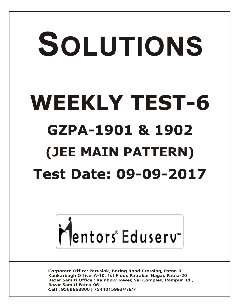# SOLUTIONS **WEEKLY TEST-6 GZPA-1901 & 1902 (JEE MAIN PATTERN) Test Date: 09-09-2017**



**Corporate Office: Paruslok, Boring Road Crossing, Patna-01** Kankarbagh Office: A-10, 1st Floor, Patrakar Nagar, Patna-20 Bazar Samiti Office: Rainbow Tower, Sai Complex, Rampur Rd., **Bazar Samiti Patna-06** Call: 9569668800 | 7544015993/4/6/7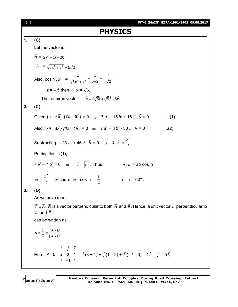[ **2** ] **WT-6 (MAIN) GZPA-1901-1902\_09.09.2017 PHYSICS 1. (C)** Let the vector is *a*  $\vec{a}$  = 2*xi* + *xj* + *zk* | | *a*  $\overline{\phantom{a}}$  $= \sqrt{5x^2 + z^2} = 5\sqrt{2}$ Also,  $\cos 135^\circ$  = *Z Z*  $x^2 + z^2$ 1  $5x^2 + z^2$   $5\sqrt{2}$   $\sqrt{2}$  $= -\frac{2}{\sqrt{2}} = ^{+}$  $\Rightarrow$  z = – 5 then x =  $\sqrt{5}$ . The required vector  $\vec{a} = 2\sqrt{5}\hat{i} + \sqrt{5}\hat{i} - 5\hat{k}$ **2. (C)** Given  $(\vec{a} + 3b) \cdot (7\vec{a} - 5b)$  $\vec{r}$   $\vec{r}$   $\vec{r}$   $\vec{r}$   $\vec{r}$   $\vec{r}$  $= 0 \Rightarrow 7 a^2 - 15 b^2 + 16 \vec{a} \cdot \vec{b}$  $\ldots$ (1) Also,  $(\vec{a} - 4\vec{b}) \cdot (7\vec{a} - 2\vec{b}) = 0 \implies 7$  a<sup>2</sup> + 8 b<sup>2</sup> - 30  $\vec{a} \cdot \vec{b}$  $\vec{a} \cdot \vec{b} = 0$  ...(2) Subtracting,  $-23b^2 + 46\,\vec{a}\cdot\vec{b}$  $\vec{a} \cdot \vec{b} = 0 \Rightarrow \vec{a} \cdot \vec{b}$  $\vec{a} \cdot \vec{b} = \frac{b^2}{2}$ 2 Putting this in (1),  $7a^2 - 7b^2 = 0$   $\Rightarrow$  $|\vec{a}| = |\vec{b}|$  . Thus  $\vec{a} \cdot \vec{b}$  $\vec{a} \cdot \vec{b}$  =  $ab \cos \theta$  $\Rightarrow$   $\frac{b^2}{2}$ 2  $= b^2 \cos \theta \Rightarrow \cos \theta =$ 1  $\frac{1}{2}$  or  $\theta = 60^{\circ}$ . **3. (D)** As we have read,  $C = A \times B$  $\rightarrow$   $\rightarrow$   $\rightarrow$  is a vector perpendicular to both *A*  $\overline{\phantom{a}}$  and *B*  $\overline{\phantom{a}}$ . Hence, a unit vector *n*ˆ perpendicular to *A*  $\tilde{-}$  and *B* can be written as  $\hat{n} = \frac{C}{C} = \frac{A \times B}{|\vec{A} \times \vec{B}|}$ ˆ  $|A\times B|$  $=\frac{C}{2}=\frac{A\times}{B}$  $\times$  $\rightarrow$   $\rightarrow$   $\rightarrow$  $\frac{1}{2}$ Here, ˆ ˆ ˆ 2 3 1 1  $-1$  1 *i j k*  $A \times B = |$  $\overline{\phantom{0}}$  $\rightarrow$   $\rightarrow$  $= \hat{i} (3 + 1) + \hat{j} (1 - 2) + \hat{k} (-2 - 3) = 4 \hat{i} - \hat{j} - 5 \hat{k}$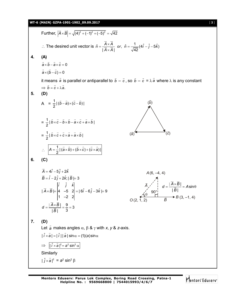## **WT-6 (MAIN) GZPA-1901-1902\_09.09.2017** [ **3** ]

Further,  $|\vec{A} \times \vec{B}| = \sqrt{(4)^2 + (-1)^2 + (-5)^2} = \sqrt{42}$  $\rightarrow$   $\rightarrow$ ∴ The desired unit vector is  $\hat{n} = \frac{A \times A}{\sqrt{2} \times A}$  or,  $\hat{n} = \frac{1}{\sqrt{2} \times A} (4 \hat{i} - \hat{j} - 5 \hat{k})$  $|A \times A|$   $\sqrt{42}$  $\hat{n} = \frac{A \times A}{\sqrt{A^2 + A^2}}$  or,  $\hat{n} = \frac{1}{\sqrt{A^2 + A^2}} (4\hat{i} - \hat{j} - 5\hat{k})$  $A \times A$  $=\frac{A\times A}{\sqrt{2}-1}$  or,  $\hat{n}=\frac{1}{\sqrt{2}-1}(4\hat{i}-\hat{j}-5\hat{k})$  $\times$  $\rightarrow$   $\rightarrow$  $\frac{n \wedge n}{n}$ **4. (A)**  $a \times b - a \times c = 0$ . .<br>4 4 4 4  $a \times (b - c) = 0$  $\frac{1}{2}$  and  $\frac{1}{2}$ it means *a*  $\overline{\phantom{a}}$  is parallel or antiparallel to *b*  $\overline{\phantom{a}}$  – *c*  $\rightarrow$ , so *b*  $\overline{\phantom{a}}$  – *c*  $\overline{\phantom{a}}$  $= \lambda a$  $\overline{\phantom{a}}$ where  $\lambda$  is any constant  $\Rightarrow$   $b = c + \lambda a$ .  $\frac{1}{2}$  and  $\frac{1}{2}$ . **5. (D)** A =  $\frac{1}{2} | (\vec{b} - \vec{a}) \times (\vec{c} - \vec{b}) |$ . . . .  $(\vec{a})$  $(\vec{b})$  $(\vec{c})$  $= \frac{1}{2} |\vec{b} \times \vec{c} - \vec{b} \times \vec{b} - \vec{a} \times \vec{c} + \vec{a} \times \vec{b}|$ . . . . . . . .  $=\frac{1}{2}|\vec{b}\times\vec{c}+\vec{c}\times\vec{a}+\vec{a}\times\vec{b}|$ . . . . . .  $\therefore \left| A = \frac{1}{2} | (\vec{a} \times \vec{b}) + (\vec{b} \times \vec{c}) + (\vec{c} \times \vec{a}) | \right|$ — — — — — — **6. (C)**  $\vec{A} = 4\hat{i} - 5\hat{j} + 2\hat{k}$  $\vec{B} = \hat{i} - 2\hat{j} + 2\hat{k}$ ;  $|\vec{B}| = 3$ *i j k*  $A \times B = |4 -5 2| = |6i - 6j - 3k|$  $d = \frac{A \times B}{A}$ *B* ˆ ˆ ˆ  $|\vec{A} \times \vec{B}| = |4 - 5 2| = |6\hat{i} - 6\hat{j} - 3\hat{k}| = 9$ 1  $-2$  2  $\frac{1}{2} = \frac{9}{2} = 3$  $| \overline{B} |$  3  $\times$  B  $=$   $|4 -5 2| = |6i - 6j - 3k| =$  $=\frac{|A\times B|}{\sqrt{2}}=\frac{9}{2}=\frac{3}{2}$  $\overline{\phantom{a}}$  $\rightarrow$   $\qquad$   $\rightarrow$   $\qquad$  $\rightarrow$   $\rightarrow$  $\rightarrow$   $\rightarrow$ (2, 1, 2) (6, –4, 4) *A*  $\overrightarrow{B}$   $\rightarrow$  *B* (3, -1, 4) *A*  $\theta$ *O* 90°  $d = \frac{|A \times B|}{|B|} = A$ *B*  $\frac{1}{5}$  = Asin | |  $=\frac{|A\times B|}{\sqrt{a}}=A\sin\theta$ **7. (D)** Let *a*  $\rightarrow$ makes angles  $\alpha$ ,  $\beta$  &  $\gamma$  with *x*, *y* & *z*-axis.  $|\hat{i} \times \hat{a}| = |\hat{i}| |\hat{a}| \sin \alpha = (1)(a) \sin \alpha$  $\Rightarrow$   $\left| \int \vec{i} \times \vec{a} \right|^2 = a^2 \sin^2 \alpha$ Similarly  $|\hat{j} \times \vec{a}|^2$  $\rightarrow$  $=$   $a^2$  sin<sup>2</sup>  $\beta$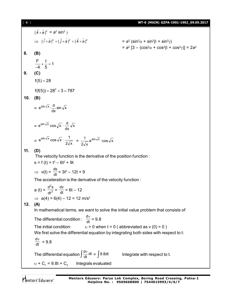### [ **4** ] **WT-6 (MAIN) GZPA-1901-1902\_09.09.2017**

 $|\hat{k} \times \vec{a}|^2$  $\overline{a}$  $= a<sup>2</sup> sin<sup>2</sup> γ$  $\Rightarrow$   $|\hat{i} \times \hat{a}|^2 + |\hat{j} \times \hat{a}|^2 + |\hat{k} \times \hat{a}|^2$  $=$   $a^2$  (sin<sup>2</sup> $\alpha$  + sin<sup>2</sup> $\beta$  + sin<sup>2</sup> $\gamma$ )  $= a<sup>2</sup> [3 - (cos<sup>2</sup>α + cos<sup>2</sup>β + cos<sup>2</sup>γ)] = 2a<sup>2</sup>$ **8. (B)**  $\frac{F}{1} + \frac{t}{5} = 1$ 4 5  $+\frac{1}{5}=1$  $\overline{\phantom{0}}$ **9. (C)**  $f(5) = 28$  $f(f(5)) = 28^2 + 3 = 787$ **10. (B)**  $= e^{\sin \sqrt{x}} \cdot \frac{d}{dx} \sin \sqrt{x}$  $e^{\sin \sqrt{x}} \cdot \frac{d}{dx}$  $= e^{sin \sqrt{x}} cos \sqrt{x} \cdot \frac{d}{dx} \sqrt{x}$  $e^{\sin \sqrt{x}} \cos \sqrt{x} \cdot \frac{d}{dx}$  $= e^{\cos x} \cos \sqrt{x} \cdot \frac{1}{2\sqrt{x}}$  $e^{\sin \sqrt{x}} \cos \sqrt{x} \cdot \frac{1}{2\sqrt{x}} = \frac{1}{2\sqrt{x}} e^{\sin \sqrt{x}} \cdot \cos \sqrt{x}$ 2√x 1  $\sin \sqrt{x}$ **11. (D)** The velocity function is the derivative of the position function :  $s = f(t) = t^3 - 6t^2 + 9t$ ⇒  $v(t) = \frac{ds}{dt} = 3t^2 - 12t + 9$ The acceleration is the derivative of the velocity function : a (t) =  $\frac{1}{4}$ 2 dt  $\frac{d^2s}{dt^2} = \frac{dv}{dt} = 6t - 12$  $\implies$  a(4) = 6(4) – 12 = 12 m/s<sup>2</sup> **12. (A)** In mathematical terms, we want to solve the initial value problem that consists of The differential condition :  $\frac{dv}{dt} = 9.8$ The initial condition:  $v = 0$  when  $t = 0$  (abbreviated as v (0) = 0) We first solve the differential equation by integrating both sides with respect to t: dt  $\frac{dv}{dt}$  = 9.8 The differential equation  $\int\!\frac{\text{d}v}{\text{d}t} \text{d}t$  $\frac{dv}{dt}$ dt =  $\int$ Integrate with respect to t.

 $v + C_1 = 9.8t + C_2$  Integrals evaluated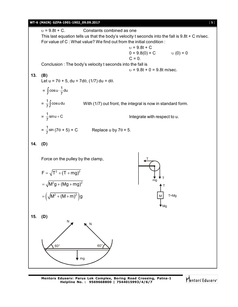# **WT-6 (MAIN) GZPA-1901-1902\_09.09.2017** [ **5** ]  $v = 9.8t + C$ . Constants combined as one This last equation tells us that the body's velocity t seconds into the fall is 9.8t + C m/sec. For value of C : What value? We find out from the initial condition :  $v = 9.8t + C$  $0 = 9.8(0) + C$   $U(0) = 0$  $C = 0.$ Conclusion : The body's velocity t seconds into the fall is  $v = 9.8t + 0 = 9.8t$  m/sec. **13. (B)** Let  $u = 7\theta + 5$ , du = 7d $\theta$ , (1/7) du = d $\theta$ .  $=$   $\int \cos u \cdot \frac{1}{7} du$ 1<br>\_- cosu  $=\frac{1}{7}\int cos u du$  With (1/7) out front, the integral is now in standard form.  $=$   $\frac{1}{7}$ sinu + C 1 Integrate with respect to u.  $=\frac{1}{7}$ sin  $\frac{1}{2}$ sin (7 $\theta$  + 5) + C Replace u by 7 $\theta$  + 5. **14. (D)** Force on the pulley by the clamp, mg T T M T Mo T=Mg  $F = \sqrt{T^2 + (T + mg)^2}$  $= \sqrt{M^2 g + (Mg + mg)^2}$  $= (\sqrt{M^2 + (M + m)^2})g$ **15. (D)** 60° 60° N N

mg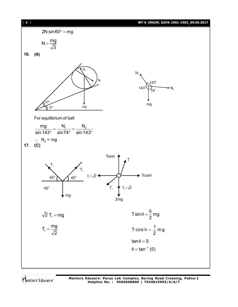

Mentors Eduserv

**Mentors Eduserv: Parus Lok Complex, Boring Road Crossing, Patna-1 Helpline No. : 9569668800 | 7544015993/4/6/7**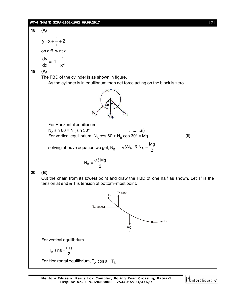# **WT-6 (MAIN) GZPA-1901-1902\_09.09.2017** [ **7** ]

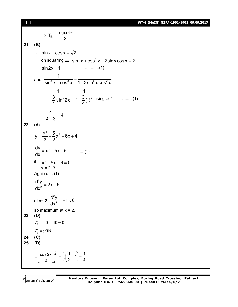[ **8** ] **WT-6 (MAIN) GZPA-1901-1902\_09.09.2017**

 $T_B = \frac{mgcot}{2}$ 2  $\Rightarrow$  T<sub>B</sub> =  $\frac{mgcot\theta}{2}$ **21. (B)**  $\therefore$  sin x + cos x =  $\sqrt{2}$ on squaring  $\Rightarrow$   $\sin^2 x + \cos^2 x + 2\sin x \cos x = 2$ sin2x 1 ............(1) and  $\frac{1}{\sin^6 x + \cos^6 x} = \frac{1}{1 - 3\sin^2 x \cos^2 x}$ 1 1  $\sin^6 x + \cos^6 x$  1-3sin<sup>2</sup> xcos<sup>2</sup> x  $=\frac{1}{2}$  = - $-\frac{3}{4}$  sin<sup>2</sup> 2x  $1-\frac{3}{4}(1)^2$ 1 1  $1 - \frac{3}{4} \sin^2 2x \quad 1 - \frac{3}{4}$ (1)  $4 \times 4$ using  $eq^n$  ......... (1)  $=\frac{1}{2}$  = 4 - $\frac{4}{2}$  = 4  $4 - 3$ **22. (A)**  $=\frac{x^{2}}{2}-\frac{9}{2}x^{2}+6x+4$  $y = \frac{x^3}{3} - \frac{5}{2}x^2 + 6x + 4$ 3 2  $\frac{dy}{dx} = x^2 - 5x + 6$  .......(1) if  $x^2 - 5x + 6 = 0$ x = 2, 3 Again diff. (1)  $= 2x - 5$ 2  $\frac{d^2y}{dx^2} = 2x - 5$ dx at x= 2  $\frac{a}{\sqrt{a}}$  = -1<1 2  $\frac{d^2y}{dx^2} = -1 < 0$ dx so maximum at  $x = 2$ . **23. (D)**  $T_1 - 50 - 40 = 0$  $T_1 = 90 N$ **24. (C) 25. (D)** 6 0 cos2x 2  $-\left[\frac{\cos 2x}{2}\right]_0^{\frac{\pi}{6}}$  $\frac{1}{2} \left( \frac{1}{2} - 1 \right) = \frac{1}{4}$  $2(2)$  4  $=\frac{1}{2}(\frac{1}{2}-1)=$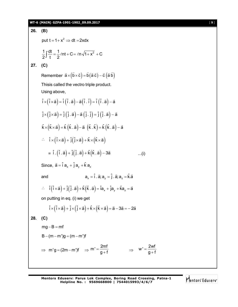# **WT-6 (MAIN) GZPA-1901-1902\_09.09.2017** [ **9** ]

26. **(B)**  
\nput 
$$
t = 1 + x^2 \Rightarrow dt = 2xdx
$$
  
\n $\frac{1}{2} \int \frac{dt}{t} = \frac{1}{2} \ln t + C = \ln \sqrt{1 + x^2} + C$   
\n27. **(C)**  
\nRemember  $\vec{a} \times (\vec{b} \times \vec{c}) = \vec{b} (\vec{a} \vec{c}) - \vec{c} (\vec{a} \vec{b})$   
\nThisis called the vector triple product.  
\nUsing above,  
\n $\hat{i} \times (\hat{i} \times \vec{a}) = \hat{i} (\hat{i} \cdot \vec{a}) - \vec{a} (\hat{i} \cdot \hat{i}) = \hat{i} (\hat{i} \cdot \vec{a}) - \vec{a}$   
\n $\hat{j} \times (\hat{j} \times \vec{a}) = \hat{j} (\hat{j} \cdot \vec{a}) - \vec{a} (\hat{j} \cdot \hat{i}) = \hat{j} (\hat{j} \cdot \vec{a}) - \vec{a}$   
\n $\hat{k} \times (\hat{k} \times \vec{a}) = \hat{k} (\hat{k} \cdot \vec{a}) - \vec{a} (\hat{k} \cdot \hat{k}) = \hat{k} (\hat{k} \cdot \vec{a}) - \vec{a}$   
\n $\therefore \hat{i} \times (\hat{i} \times \vec{a}) + \hat{j} (\hat{j} \times \vec{a}) + \hat{k} \times (\hat{k} \times \vec{a})$   
\n $= \hat{i} \cdot (\hat{i} \cdot \vec{a}) + \hat{j} (\hat{j} \cdot \vec{a}) + \hat{k} (\hat{k} \cdot \vec{a}) - 3\vec{a}$ ...(i)  
\nSince,  $\vec{a} = \hat{i} a_x + \hat{j} a_y + \hat{k} a_z$   
\nand  
\n $a_x = \hat{i} \cdot \vec{a} \cdot a_y = \hat{j} \cdot \vec{a} \cdot a_z = \hat{k} \cdot \vec{a}$   
\non putting in eq. (i) we get  
\n $\hat{i} \times (\hat{i} \times \vec{a}) + \hat{j} (\hat{j} \cdot \vec{a}) + \hat{k} (\hat{k} \cdot \vec{a}) = \hat{i} a_x + \hat{j} a_y + \hat{k} a_z = \vec{a}$   
\non putting in eq. (i) we get  
\n $\hat{i} \times (\hat{i} \times \vec{a}) + \$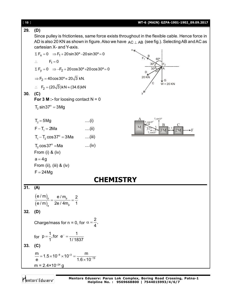| [10] |                                                                                             |                  | WT-6 (MAIN) GZPA-1901-1902_09.09.2017                                                                                                                                                                  |
|------|---------------------------------------------------------------------------------------------|------------------|--------------------------------------------------------------------------------------------------------------------------------------------------------------------------------------------------------|
| 29.  | (D)                                                                                         |                  |                                                                                                                                                                                                        |
|      | cartesian X- and Y-axis.                                                                    |                  | Since pulley is frictionless, same force exists throughout in the flexible cable. Hence force in<br>AD is also 20 KN as shown in figure. Also we have $AC \perp AB$ (see fig.). Selecting AB and AC as |
|      | $\Sigma F_x = 0 \implies F_1 + 20 \sin 30^\circ - 20 \sin 30^\circ = 0$                     |                  | $X_{\nabla}$                                                                                                                                                                                           |
|      | $\therefore$ F <sub>1</sub> = 0                                                             |                  | $60^\circ$<br>$30^\circ$                                                                                                                                                                               |
|      | $\Sigma F_y = 0 \implies -F_2 + 20 \cos 30^\circ + 20 \cos 30^\circ = 0$                    |                  | D                                                                                                                                                                                                      |
|      | $\Rightarrow$ F <sub>2</sub> = 40cos 30° $\approx$ 20 $\sqrt{3}$ kN.                        |                  | 20 KN<br>G                                                                                                                                                                                             |
|      | $\therefore$ F <sub>2</sub> = (20 $\sqrt{3}$ )kN $\approx$ (34.6)kN                         |                  | $W = 20$ KN                                                                                                                                                                                            |
| 30.  | (C)                                                                                         |                  |                                                                                                                                                                                                        |
|      | For 3 M :- for loosing contact $N = 0$                                                      |                  |                                                                                                                                                                                                        |
|      | $T_2 \sin 37^\circ = 3 \text{Mg}$                                                           |                  |                                                                                                                                                                                                        |
|      | $T_2 = 5Mg$                                                                                 | $\dots(i)$       | $T0 \cos 3$                                                                                                                                                                                            |
|      | $F - T_1 = 2Ma$                                                                             | $\dots$ (ii)     | B<br>M<br>2M<br>3M<br>T, cos37                                                                                                                                                                         |
|      | $T_1 - T_2 \cos 37^\circ = 3$ Ma                                                            | $\dots$ (iii)    |                                                                                                                                                                                                        |
|      | $T_2 \cos 37^\circ = Ma$                                                                    | $\dots$ (iv)     |                                                                                                                                                                                                        |
|      | From (i) $&$ (iv)<br>$a = 4g$                                                               |                  |                                                                                                                                                                                                        |
|      | From (ii), (iii) $&$ (iv)                                                                   |                  |                                                                                                                                                                                                        |
|      | $F = 24$ Mg                                                                                 |                  |                                                                                                                                                                                                        |
|      |                                                                                             | <b>CHEMISTRY</b> |                                                                                                                                                                                                        |
| 31.  | (A)                                                                                         |                  |                                                                                                                                                                                                        |
|      |                                                                                             |                  |                                                                                                                                                                                                        |
|      | $\frac{(e/m)_p}{(e/m)_a} = \frac{e/m_p}{2e/4m_p} = \frac{2}{1}$                             |                  |                                                                                                                                                                                                        |
| 32.  | (D)                                                                                         |                  |                                                                                                                                                                                                        |
|      | Charge/mass for n = 0, for $\alpha = \frac{2}{4}$ ,                                         |                  |                                                                                                                                                                                                        |
|      | for $p = \frac{1}{1}$ , for $e^{-} = \frac{1}{1/1837}$                                      |                  |                                                                                                                                                                                                        |
| 33.  | (C)                                                                                         |                  |                                                                                                                                                                                                        |
|      | $\frac{m}{e}$ = 1.5 × 10 <sup>-8</sup> × 10 <sup>+3</sup> = $\frac{m}{1.6 \times 10^{-19}}$ |                  |                                                                                                                                                                                                        |
|      | $m = 2.4 \times 10^{-24}$ g                                                                 |                  |                                                                                                                                                                                                        |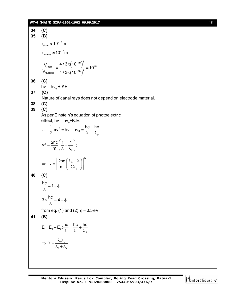# **WT-6 (MAIN) GZPA-1901-1902\_09.09.2017** [ **11** ]

**34. (C) 35. (B)**  $\rm r_{\rm atom} \approx 10^{-10} \rm m$  $r_{\text{nucleus}} \approx 10^{-15} \text{m}$  $(10^{-10})$  $(10^{-15})$ 10  $\big)^3$  $\frac{V_{\text{Atom}}}{V_{\text{Nucleus}}} = \frac{1.7 \text{ m/s} (10^{-15})^3}{4 / 3 \pi (10^{-15})^3} = 10^{15}$  $\frac{V_{\text{Atom}}}{I} = \frac{4/3\pi (10^{-10})^2}{(10^{-10})^3} = 10$  $V_{\tiny \textsf{Nucleus}}{}~~$  4 /  $3\pi(10)$ ÷ ÷  $\pi$  $=$   $\frac{1}{2}$   $\frac{1}{3}$  = 1  $\pi$ **36. (C)** hv = h $v_0$  + KE **37. (C)** Nature of canal rays does not depend on electrode material. **38. (C) 39. (C)** As per Einstein's equation of photoelectric effect, hv = hv $_{0}^{\circ}$ +K.E.  $2 = h v - h v_0$ 0  $\frac{1}{2}$ mv<sup>2</sup> = hv – hv<sub>0</sub> =  $\frac{hc}{2}$  –  $\frac{hc}{2}$ 2  $\therefore$   $\frac{1}{2}mv^2 = hv - hv_0 = \frac{1}{2} - \frac{1}{2}$  $\lambda$   $\lambda_0$ 2 0  $v^2 = \frac{2hc}{\lambda} \left( \frac{1}{2} - \frac{1}{2} \right);$ m  $=\frac{2hc}{m}\left(\frac{1}{\lambda}-\frac{1}{\lambda_0}\right);$  $\frac{1}{2}$ 0 0  $v = \frac{2hc}{2}$ m  $\left[2\text{hc}\left(\lambda_0-\lambda\right)\right]^T$  $\Rightarrow$   $V = \left[ \frac{200}{m} \left( \frac{R_0}{\lambda \lambda_0} \right) \right]$ **40. (C)**  $\frac{hc}{\hat{}}$  = 1+ $\phi$  $\lambda$  $3 \times \frac{hc}{\hat{ }} = 4 + \phi$  $\lambda$ from eq. (1) and (2)  $\phi = 0.5$ eV **41. (B)** 1  $-2$ 1  $\frac{1}{2}$  $E = E_1 + E_2$ ;  $\frac{hc}{\lambda} = \frac{hc}{\lambda} + \frac{hc}{\lambda}$  $\lambda$   $\lambda_1$   $\lambda_2$  $1''2$  $1 + \frac{1}{2}$  $\Rightarrow \lambda = \frac{\lambda_1 \lambda_2}{\lambda_1 \lambda_2}$  $\lambda_1 + \lambda_2$ 

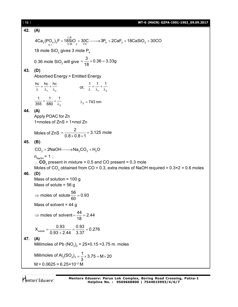| [12] | WT-6 (MAIN) GZPA-1901-1902_09.09.2017                                                                                                                                                                                                                                                |
|------|--------------------------------------------------------------------------------------------------------------------------------------------------------------------------------------------------------------------------------------------------------------------------------------|
| 42.  | (A)                                                                                                                                                                                                                                                                                  |
|      | $4Ca5(PO4)3F + 18SiO2 + 30C \longrightarrow 3P4 + 2CaF2 + 18CaSiO3 + 30CO$                                                                                                                                                                                                           |
|      | 18 mole $SiO2$ gives 3 mole $P4$                                                                                                                                                                                                                                                     |
|      | 0.36 mole SiO <sub>2</sub> will give $=\frac{3}{18} \times 0.36 = 3.33g$                                                                                                                                                                                                             |
| 43.  | (D)<br><b>Absorbed Energy = Emitted Energy</b>                                                                                                                                                                                                                                       |
|      | $\frac{hc}{\lambda} = \frac{hc}{\lambda_1} + \frac{hc}{\lambda_2}$ or, $\frac{1}{\lambda} = \frac{1}{\lambda_1} + \frac{1}{\lambda_2}$                                                                                                                                               |
|      | $\frac{1}{355} = \frac{1}{680} + \frac{1}{\lambda_2}$ $\lambda_2 = 743 \text{ nm}$                                                                                                                                                                                                   |
| 44.  | (A)<br>Apply POAC for Zn<br>1×moles of $ZnS = 1$ ×mol Zn                                                                                                                                                                                                                             |
|      | Moles of ZnS = $\frac{2}{0.8 \times 0.8 \times 1}$ = 3.125 mole                                                                                                                                                                                                                      |
| 45.  | (B)                                                                                                                                                                                                                                                                                  |
|      | $CO2 + 2NaOH \longrightarrow Na2CO3 + H2O$                                                                                                                                                                                                                                           |
| 46.  | $n_{N_A O H} = 1$ ;<br>$\therefore$ CO <sub>2</sub> present in mixture = 0.5 and CO present = 0.3 mole<br>Moles of CO <sub>2</sub> obtained from CO = 0.3, extra moles of NaOH required = $0.3 \times 2 = 0.6$ moles<br>(D)<br>Mass of solution = $100 g$<br>Mass of solute = $56 g$ |
|      | ⇒ moles of solute $\frac{56}{60}$ = 0.93                                                                                                                                                                                                                                             |
|      | Mass of solvent = $44 g$                                                                                                                                                                                                                                                             |
|      | ⇒ moles of solvent = $\frac{44}{18}$ = 2.44                                                                                                                                                                                                                                          |
|      | $X_{\text{solute}} = \frac{0.93}{0.93 + 2.44} = \frac{0.93}{3.37} = 0.276$                                                                                                                                                                                                           |
| 47.  | (A)<br>Millimoles of Pb $(NO_3)_2 = 25 \times 0.15 = 3.75$ m. moles                                                                                                                                                                                                                  |
|      | Millimoles of Al <sub>2</sub> (SO <sub>4</sub> ) <sub>3</sub> = $\frac{1}{3}$ × 3.75 = M × 20                                                                                                                                                                                        |
|      | $M = 0.0625 = 6.25 \times 10^{-2} M$                                                                                                                                                                                                                                                 |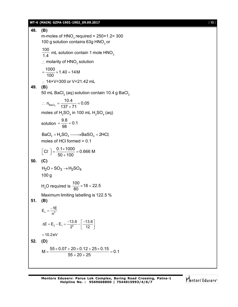# **WT-6 (MAIN) GZPA-1901-1902\_09.09.2017** [ **13** ]

| 48.     | (B)                                                                                          |
|---------|----------------------------------------------------------------------------------------------|
|         | m-moles of $HNO3$ required = 250×1.2= 300<br>100 g solution contains 63g HNO <sub>3</sub> or |
|         | $\frac{100}{14}$ mL solution contain 1 mole HNO <sub>3</sub>                                 |
|         | $\therefore$ molarity of HNO <sub>3</sub> solution                                           |
|         | $=\frac{1000}{100} \times 1.40 = 14 M$                                                       |
|         | $\therefore$ 14×V=300 or V=21.42 mL                                                          |
| 49.     | (B)<br>50 mL BaCl <sub>2</sub> (aq) solution contain 10.4 g BaCl <sub>2</sub>                |
|         | $\therefore n_{\text{BaCl}_2} = \frac{10.4}{137 + 71} = 0.05$                                |
|         | moles of $H_2SO_4$ in 100 mL $H_2SO_4$ (aq)                                                  |
|         | solution = $\frac{9.8}{98}$ = 0.1                                                            |
|         | $BaCl_2 + H_2SO_4 \longrightarrow BaSO_4 + 2HCl;$<br>moles of HCI formed $= 0.1$             |
|         | $\left[CI^{-}\right] = \frac{0.1 \times 1000}{50 + 100} = 0.666$ M                           |
| 50.     | (C)                                                                                          |
|         | $H_2O + SO_3 \rightarrow H_2SO_4$                                                            |
|         | 100 <sub>g</sub>                                                                             |
|         | H <sub>2</sub> O required is $\frac{100}{80} \times 18 = 22.5$                               |
| 51.     | Maximum limiting labelling is 122.5 %<br>(B)                                                 |
|         | $E_n = \frac{-1E}{n^2}$                                                                      |
|         | $\Delta E = E_2 - E_1 = \frac{-13.6}{2^2} - \left( \frac{-13.6}{12} \right)$                 |
|         | $=10.2$ eV                                                                                   |
| 52. (D) |                                                                                              |
|         | $M = \frac{55 \times 0.07 + 20 \times 0.12 + 25 \times 0.15}{0.1} = 0.1$<br>$55 + 20 + 25$   |
|         |                                                                                              |

Mentors<sup>e</sup> Eduserv<sup>-</sup>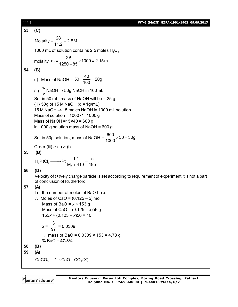#### [ **14** ] **WT-6 (MAIN) GZPA-1901-1902\_09.09.2017**

**53. (C)** Molarity =  $\frac{28}{110}$  = 2.5M 11.2  $=\frac{20}{110}=2$ 1000 mL of solution contains 2.5 moles  $H_2O_2$ molality, m =  $\frac{2.5}{1050 \text{ m/s}} \times 1000 = 2.15 \text{ m}$  $1250 - 85$  $=\frac{2.6}{1050} \times 1000 = 2$ -**54. (B)** (i) Mass of NaOH =  $50 \times \frac{40}{100} = 20g$ 100  $= 50 \times \frac{10}{100} = 2$ (ii)  $\stackrel{\mathsf{W}}{=}$ NaOH  $\rightarrow$  50g NaOH in 100mL v  $\rightarrow$ So, in 50 mL, mass of NaOH will be = 25 g (iii) 50g of 15 M NaOH ( $d = 1$ g/mL) 15 M NaOH  $\rightarrow$  15 moles NaOH in 1000 mL solution Mass of solution =  $1000 \times 1 = 1000$  g Mass of NaOH = $15 \times 40 = 600$  g in 1000 g solution mass of NaOH = 600 g So, in 50g solution, mass of NaOH =  $\frac{600}{4000} \times 50 = 30$ g 1000  $=\frac{388}{1000} \times 50 = 3$ Order (iii)  $>$  (ii)  $>$  (i) **55. (B)**  $2^{\prime}$   $\sim$   $6^{\prime}$ B  $H_2PtCl_6 \longrightarrow Pt; \frac{12}{11 \cdot 11 \cdot 11} = \frac{5}{121}$  $M_B + 410$  195  $\longrightarrow$ Pt; $\frac{1}{\sqrt{1.1+10}}$  $+$ **56. (D)** Velocity of (+)vely charge particle is set according to requirement of experiment it is not a part of conclusion of Rutherford. **57. (A)** Let the number of moles of BaO be *x*.  $\therefore$  Moles of CaO =  $(0.125 - x)$  mol Mass of BaO = *x* × 153 g Mass of CaO = (0.125 – *x*)56 g  $153x + (0.125 - x)56 = 10$ *x* = 3  $\frac{6}{97}$  = 0.0309. ∴ mass of BaO = 0.0309  $\times$  153 = 4.73 g % BaO = **47.3%**. **58. (B) 59. (A)**  $CaCO<sub>3</sub> \longrightarrow CaO + CO<sub>2</sub>(X)$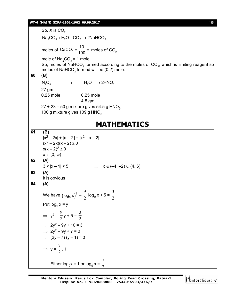# **WT-6 (MAIN) GZPA-1901-1902\_09.09.2017** [ **15** ]

So,  $X$  is  $CO<sub>2</sub>$  $\text{Na}_2\text{CO}_3 + \text{H}_2\text{O} + \text{CO}_2 \rightarrow 2\text{NaHCO}_3$ moles of CaCO<sub>3</sub> =  $\frac{10}{100}$  $=\frac{10}{100}$  = moles of CO<sub>2</sub> mole of  $\mathsf{Na}_2\mathsf{CO}_3^-$  = 1 mole So, moles of NaHCO $_3$  formed according to the moles of CO $_2$ , which is limiting reagent so moles of  $\mathsf{NaHCO}_3$  formed will be (0.2) mole. **60. (B)**  $N_2O_5$  +  $H_2O \rightarrow 2HNO_3$ 27 gm 0.25 mole 0.25 mole 4.5 gm  $27 + 23 = 50$  g mixture gives 54.5 g HNO<sub>3</sub> 100 g mixture gives 109 g  $HNO<sub>3</sub>$ **MATHEMATICS 61. (B)**  $|x^2-2x|$  +  $|x-2|$  =  $|x^2-x-2|$  $(x^2 - 2x)(x - 2) \ge 0$  $x(x - 2)^2 \ge 0$  $x \in [0, \infty)$ **62. (A)**  $3 < |x - 1| < 5$   $\Rightarrow x \in (-4, -2) \cup (4, 6)$ **63. (A)** It is obvious **64. (A)** We have  $\left(\log_\mathrm{9} \mathrm{x}\right)^2$  $log_9 x)^2 - \frac{1}{2}$ 9  $log_9 x + 5 = \frac{1}{2}$ 3 Put log $_9$  x = y  $\Rightarrow$  y<sup>2</sup> –  $\frac{1}{2}$ 9  $y + 5 = \frac{1}{2}$ 3  $\therefore$  2y<sup>2</sup> – 9y + 10 = 3  $\implies$  2y<sup>2</sup> – 9y + 7 = 0 :.  $(2y - 7) (y - 1) = 0$  $\Rightarrow$  y =  $\frac{1}{2}$ 7 , 1

 $\therefore$  Either log<sub>9</sub>x = 1 or log<sub>9</sub> x =  $\frac{1}{2}$ 7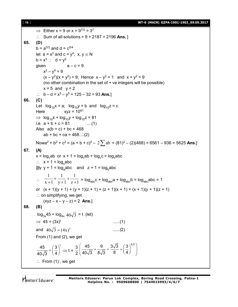[ **16** ] **WT-6 (MAIN) GZPA-1901-1902\_09.09.2017**

 $\Rightarrow$  Either x = 9 or x = 9<sup>7/2</sup> = 3<sup>7</sup> ∴ Sum of all solutions =  $9 + 2187 = 2196$  Ans. ] **65. (D)**  $b = a^{3/2}$  and  $d = c^{5/4}$ let  $a = x^2$  and  $c = y^4$ ,  $x, y \in N$ b =  $x^3$  ; d =  $y^5$ qiven  $a - c = 9$  $x^2 - y^4 = 9$  $(x - y^2)(x + y^2) = 9$ ; Hence  $x - y^2 = 1$  and  $x + y^2 = 9$ (no other combination in the set of + ve integers will be possible)  $x = 5$  and  $y = 2$ :.  $b - d = x^3 - y^5 = 125 - 32 = 93$  Ans.] **66. (C)** Let  $log_{10}x = a$ ;  $log_{10}y = b$  and  $log_{10}z = c$ Here  $xyz = 10^{81}$  $\Rightarrow$  log<sub>10</sub>x + log<sub>10</sub>y + log<sub>10</sub>z = 81 i.e.  $a + b + c = 81$  ....(1) Also  $a(b + c) + bc = 468$  $ab + bc + ca = 468$ ....(2) Nowa<sup>2</sup> + b<sup>2</sup> + c<sup>2</sup> = (a + b + c)<sup>2</sup> - 2 $\sum$ ab = (81)<sup>2</sup> - (2)(468) = 6561 - 936 = 5625 **Ans.**] **67. (A)**  $x = \log_{c} ab$  or  $x + 1 = \log_{c} ab + \log_{c} c = \log_{c} abc$  $\therefore$  x + 1 = log<sub>c</sub>abc |||ly y + 1 = log<sub>a</sub>abc and z + 1 = log<sub>b</sub>abc  $\therefore \quad \frac{x+1}{x+1} + \frac{1}{y+1} + \frac{1}{z+1}$ 1  $y+1$ 1  $x + 1$ 1  $^{+}$  $+$  $\ddot{}$  $\ddag$  $\frac{1}{x+1} + \frac{1}{y+1} + \frac{1}{z+1} = \log_{abc} c + \log_{abc} a + \log_{abc} b = \log_{abc} abc = 1$ or  $(x + 1)(y + 1) + (y + 1)(z + 1) + (z + 1)(x + 1) = (x + 1)(y + 1)(z + 1)$  $\therefore$  on simplifying, we get  $(xyz - x - y - z) = 2$  **Ans.**] **68. (B)**  $log_{3x}45 = log_{4x} 40\sqrt{3} = t$  (let)  $\implies$  45 = (3x)<sup>t</sup> ......(1) and  $40\sqrt{3} = (4x)^t$  ......(2) From (1) and (2), we get 45  $(3)^{t}$ 40√3 (4  $=\left(\frac{3}{4}\right)^{1} \Rightarrow t = \frac{3}{2}$ 2 45 9  $3\sqrt{3}$   $(3)^{3/2}$  $\left(\frac{45}{40\sqrt{3}} = \frac{9}{8\sqrt{3}} = \frac{3\sqrt{3}}{8} = \left(\frac{3}{4}\right)^{3/2}\right)$  $\therefore$  From (1), we get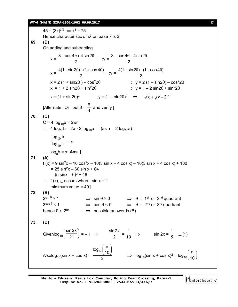$45 = (3x)^{3/2} \Rightarrow x^3 = 75$ 

 $x =$ 

 $x =$ 

On adding and subtracting

[Alternate : Or put  $\theta = \frac{4}{4}$ 

C = 4  $log_{10}b = 2\pi r$ 

 $3 - \cos 4\theta + 4 \sin 2$ 2  $-\cos 4\theta$  + 4 sin 2 $\theta$ 

Hence characteristic of  $x^3$  on base 7 is 2.

 $4(1 + \sin 2\theta) - (1 + \cos 4\theta)$ 2  $+ \sin 2\theta$ ) – (1 +  $\cos 4\theta$ )

 $\pi$ 

 $; y =$ 

and verify ]

 $; y =$ 

**WT-6 (MAIN) GZPA-1901-1902\_09.09.2017** [ **17** ]  $3 - \cos 4\theta - 4\sin 2$ 2  $-\cos{4\theta} - 4\sin{2\theta}$  $4(1-\sin2\theta) - (1+\cos4\theta)$ 2  $-\sin 2\theta$ ) $-(1+\cos 4\theta)$  $x = 2 (1 + \sin 2\theta) - \cos^2 2\theta$  ;  $y = 2 (1 - \sin 2\theta) - \cos^2 2\theta$  $x = 1 + 2 \sin 2\theta + \sin^2 2\theta$  ;  $y = 1 - 2 \sin 2\theta + \sin^2 2\theta$  $x = (1 + \sin 2\theta)^2$   $\qquad y = (1 - \sin 2\theta)^2 \Rightarrow \sqrt{x} + \sqrt{y} = 2$ ∴ 4 log<sub>10</sub>b = 2 $\pi$  · 2 log<sub>10</sub>a (as r = 2 log<sub>10</sub>a)

$$
70. (C)
$$

**69. (D)**

 $\log_{10} a$  $\log_{10} b$ 10  $\frac{10^{6}}{2} = \pi$  $\therefore$   $log_a b = \pi$  **Ans.**] **71. (A)**  $f(x) = 9 \sin^2 x - 16 \cos^2 x - 10(3 \sin x - 4 \cos x) - 10(3 \sin x + 4 \cos x) + 100$  $= 25 \sin^2 x - 60 \sin x + 84$  $= (5 \sin x - 6)^2 + 48$  $\therefore$  f (x)<sub>min</sub> occurs when sin x = 1 minimum value  $= 49$ ] **72. (B)**  $2^{\sin \theta}$  $\Rightarrow$  sin  $\theta > 0$   $\Rightarrow$   $\theta \in 1^{st}$  or 2<sup>nd</sup> quadrant  $3^{\cos\theta}$  $\Rightarrow$  cos  $\theta$  < 0  $\Rightarrow$   $\theta$   $\in$  2<sup>nd</sup> or 3<sup>rd</sup> quadrant hence  $\theta \in 2^{nd}$   $\Rightarrow$  possible answer is (B) **73. (D)** Givenlog $_{\rm 10}$ sin2x  $\left(\frac{\sin 2x}{2}\right) = -1 \Rightarrow \frac{\sin 2x}{2}$  $\frac{1}{2}$  =  $\frac{1}{10}$ 1  $\Rightarrow$  sin 2x =  $\frac{1}{5}$ 1 ....(1)

Alsolog<sub>10</sub>(sin x + cos x) = 
$$
\frac{\log_{10}(\frac{n}{10})}{2}
$$
  $\Rightarrow$  log<sub>10</sub>(sin x + cos x)<sup>2</sup> = log<sub>10</sub>( $\frac{n}{10}$ )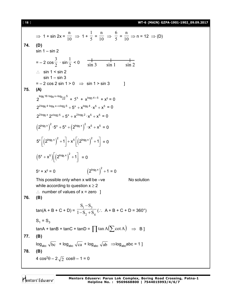[ **18** ] **WT-6 (MAIN) GZPA-1901-1902\_09.09.2017**

⇒ 1 + sin 2x = 
$$
\frac{n}{10}
$$
 ⇒ 1 +  $\frac{1}{5}$  =  $\frac{n}{10}$  ⇒  $\frac{6}{5}$  =  $\frac{n}{10}$  ⇒ n = 12 ⇒ (D)  
\nsin 1 - sin 2  
\n= -2 cos  $\frac{3}{2}$  · sin  $\frac{1}{2}$  < 0  $\frac{1}{\sin 3}$  sin 1 sin 1 sin 2  
\n∴ sin 1 < sin 2  
\n= -2 cos 2 sin 1 > 0 ⇒ sin 1 > sin 3  
\n= -2 cos 2 sin 1 > 0 ⇒ sin 1 > sin 3  
\n  
\n75. (A)  
\n $2^{\log_5 16 \cdot \log_4 x + \log_3 x} = 5^x + x^{\log_3 4 + 5} + x^5 = 0$   
\n $2^{2 \log_5 4 \cdot \log_4 x + \log_2 5} + 5^x + x^{\log_5 4} \cdot x^5 + x^5 = 0$   
\n $2^{2 \log_5 x} \cdot 2^{x \log_2 5} + 5^x + x^{\log_5 6} \cdot x^5 + x^5 = 0$   
\n $(2^{\log_5 x})^2 \cdot 5^x + 5^x + (2^{\log_5 x})^2 \cdot x^5 + x^5 = 0$   
\n $5^x \left[ (2^{\log_5 x})^2 + 1 \right] + x^5 \left[ (2^{\log_5 x})^2 + 1 \right] = 0$   
\n $(5^x + x^5) \left[ (2^{\log_5 x})^2 + 1 \right] = 0$   
\n $5^x + x^5 = 0$   $(2^{\log_5 x})^2 + 1 = 0$   
\nThis possible only when x will be –ve  
\nwhile according to question x ≥ 2  
\n∴ number of values of x = zero 1  
\n  
\n76. (B)  
\n $\tan(A + B + C + D) = \frac{S_1 - S_3}{1 - S_2 + S_4}$  (∴ A + B + C + D = 360°)  
\n $S_1 = S_3$   
\ntanA + tanB + tanC + tanD =  $\prod \tan A(\sum \cot A)$  ⇒ B]  
\n77. (B)  
\n $\log_{abc} \sqrt{bc$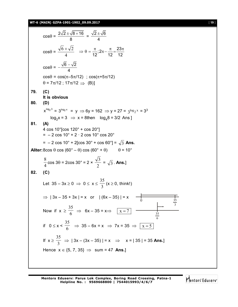### **WT-6 (MAIN) GZPA-1901-1902\_09.09.2017** [ **19** ]

 $\cos\theta = \frac{2\sqrt{2} \pm \sqrt{8} + 16}{2}$ 8  $\frac{\pm\sqrt{8+16}}{2} = \frac{\sqrt{2\pm\sqrt{6}}}{4}$ 4  $\pm$  $\cos \theta =$ 4  $\frac{6+\sqrt{2}}{4}$   $\Rightarrow \theta = \frac{\pi}{42}; 2\pi - \frac{\pi}{42} = \frac{23}{42}$  $12^{7}$  12 12  $\Rightarrow \theta = \frac{\pi}{40}; 2\pi - \frac{\pi}{40} = \frac{23\pi}{40}$  $\cos\theta = -\frac{\sqrt{6}-\sqrt{2}}{4}$ 4  $-\frac{\sqrt{6}-}{4}$  $\cos\theta = \cos(\pi - 5\pi/12)$ ;  $\cos(\pi + 5\pi/12)$  $\theta = 7\pi/12$ ; 17 $\pi/12 \implies$  (B)] **79. (C) It is obvious 80. (D)**  $x^{\log_2 3} = 3^{\log_2 x} = y \implies 6y = 162 \implies y = 27 = 3^{\log_2 x} = 3^3$  $log_2 x = 3 \Rightarrow x = 8$ then  $log_4 8 = 3/2$  Ans ] **81. (A)** 4 cos 10°[cos 120° + cos 20°]  $= -2 \cos 10^{\circ} + 2 \cdot 2 \cos 10^{\circ} \cos 20^{\circ}$  $= -2 \cos 10^{\circ} + 2[\cos 30^{\circ} + \cos 60^{\circ}] = \sqrt{3}$  Ans. **Aliter:** 8cos  $\theta$  cos (60° –  $\theta$ ) cos (60° +  $\theta$ )  $\theta$  = 10° 4 8  $\cos 3\theta = 2\cos 30^\circ = 2 \times$ 2 3  $=$   $\sqrt{3}$ . **Ans.**] **82. (C)** Let  $35 - 3x \ge 0 \Rightarrow 0 \le x \le \frac{12}{3}$ 35  $(x \geq 0, \text{ think!})$  $\Rightarrow$  | 3x – 35 + 3x | = x or | (6x – 35) | = x  $\frac{1}{\sqrt{2}}$ 6 35 3 0  $\frac{35}{2}$ Now if  $x \ge \frac{1}{6}$ 35  $\Rightarrow$  6x – 35 = x $\Rightarrow$  | x = 7 if  $0 \le x < \frac{1}{6}$ 35  $\Rightarrow$  35 – 6x = x  $\Rightarrow$  7x = 35  $\Rightarrow$   $x = 5$ If  $x \geq \frac{5}{3}$ 35  $\Rightarrow$   $| 3x - (3x - 35) | = x \Rightarrow x = | 35 | = 35$  Ans.] Hence  $x \in \{5, 7, 35\} \implies$  sum = 47 Ans.]

Mentors<sup>®</sup> Eduserv<sup>®</sup>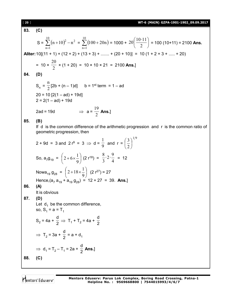[ **20** ] **WT-6 (MAIN) GZPA-1901-1902\_09.09.2017 83. (C)**  $S = \sum (n+10)^2$  $=$  $\sum_{n=1}^{10} (n+10)^2 - n^2 = \sum_{n=1}^{10} (100 + 20n)$  $n = 1$  $=$ 10  $n = 1$  $100+20n$  = 1000 + 20  $\frac{100n}{2}$ J  $\left(\frac{10.11}{2}\right)$  $\setminus$ ſ 2  $20\left(\frac{10\cdot11}{2}\right)$  = 100 (10+11) = 2100 **Ans. Aliter:**10[(11 + 1) + (12 + 2) + (13 + 3) + ....... + (20 + 10)] = 10 (1 + 2 + 3 + ..... + 20)  $= 10 \times \frac{1}{2}$ 20 × (1 + 20) = 10 × 10 × 21 = 2100 **Ans.**] **84. (D)**  $S_n = \frac{1}{2}$ n  $[2b + (n-1)d]$  b = 1<sup>st</sup> term = 1 – ad  $20 = 10$  [2(1 – ad) + 19d]  $2 = 2(1 - ad) + 19d$ 2ad = 19d  $\Rightarrow$  a = 2 19 **Ans.**] **85. (B)** If d is the common difference of the arithmetic progression and r is the common ratio of geometric progression, then  $2 + 9d = 3$  and  $2r^9 = 3 \Rightarrow d = \frac{1}{9}$ 1 and r =  $1/9$ 2 3  $\overline{\phantom{a}}$ J  $\left(\frac{3}{2}\right)$  $\setminus$ ſ So,  $a_7g_{19} = |2+6\times\frac{1}{0}|$  $\bigg)$  $\left(2+6\times\frac{1}{6}\right)$  $\setminus$  $\int 2+6\times$ 9  $2+6\times\frac{1}{9}$  (2 r<sup>18</sup>) =  $\frac{8}{3}\cdot2\cdot\frac{9}{4}$  $\cdot 2 \cdot \frac{9}{4}$ 3 8 = 12 Nowa<sub>19</sub> g<sub>28</sub> =  $\left(2+18\times\frac{1}{9}\right)$  $\left(2+18\times\frac{1}{2}\right)$  $\setminus$  $\left(2+18\times\right)$ 9  $2+18\times\frac{1}{2}$  (2 r<sup>27</sup>) = 27 Hence,(a<sub>7</sub> a<sub>19</sub> + a<sub>19</sub> g<sub>28</sub>) = 12 + 27 = 39. **Ans.**] **86. (A)** It is obvious **87. (D)** Let  $\, {\mathsf d}_1 \,$  be the common difference, so,  $S_1 = a = T_1$  $S_2 = 4a +$ d  $\frac{1}{2} \Rightarrow T_1 + T_2 = 4a +$ d 2  $\Rightarrow$  T<sub>2</sub> = 3a + d  $\frac{1}{2}$  = a + d<sub>1</sub>  $\Rightarrow$  d<sub>1</sub> = T<sub>2</sub> – T<sub>1</sub> = 2a + d 2 **Ans.**] **88. (C)**